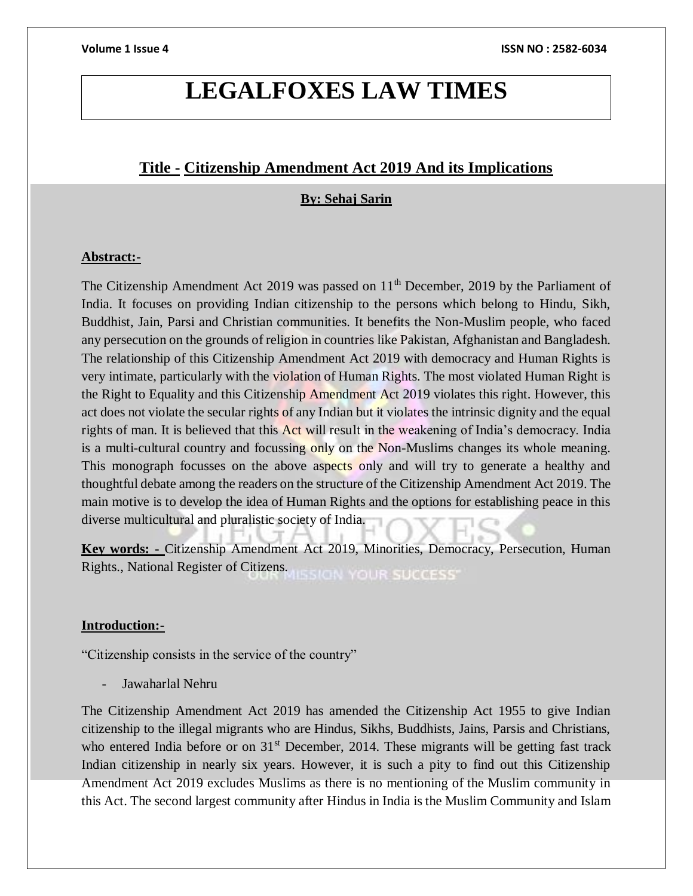# **LEGALFOXES LAW TIMES**

# **Title - Citizenship Amendment Act 2019 And its Implications**

## **By: Sehaj Sarin**

### **Abstract:-**

The Citizenship Amendment Act 2019 was passed on 11<sup>th</sup> December, 2019 by the Parliament of India. It focuses on providing Indian citizenship to the persons which belong to Hindu, Sikh, Buddhist, Jain, Parsi and Christian communities. It benefits the Non-Muslim people, who faced any persecution on the grounds of religion in countries like Pakistan, Afghanistan and Bangladesh. The relationship of this Citizenship Amendment Act 2019 with democracy and Human Rights is very intimate, particularly with the violation of Human Rights. The most violated Human Right is the Right to Equality and this Citizenship Amendment Act 2019 violates this right. However, this act does not violate the secular rights of any Indian but it violates the intrinsic dignity and the equal rights of man. It is believed that this Act will result in the weakening of India's democracy. India is a multi-cultural country and focussing only on the Non-Muslims changes its whole meaning. This monograph focusses on the above aspects only and will try to generate a healthy and thoughtful debate among the readers on the structure of the Citizenship Amendment Act 2019. The main motive is to develop the idea of Human Rights and the options for establishing peace in this diverse multicultural and pluralistic society of India.

**Key words: -** Citizenship Amendment Act 2019, Minorities, Democracy, Persecution, Human Rights., National Register of Citizens. SION YOUR SUCCESS'

### **Introduction:-**

"Citizenship consists in the service of the country"

Jawaharlal Nehru

The Citizenship Amendment Act 2019 has amended the Citizenship Act 1955 to give Indian citizenship to the illegal migrants who are Hindus, Sikhs, Buddhists, Jains, Parsis and Christians, who entered India before or on  $31<sup>st</sup>$  December, 2014. These migrants will be getting fast track Indian citizenship in nearly six years. However, it is such a pity to find out this Citizenship Amendment Act 2019 excludes Muslims as there is no mentioning of the Muslim community in this Act. The second largest community after Hindus in India is the Muslim Community and Islam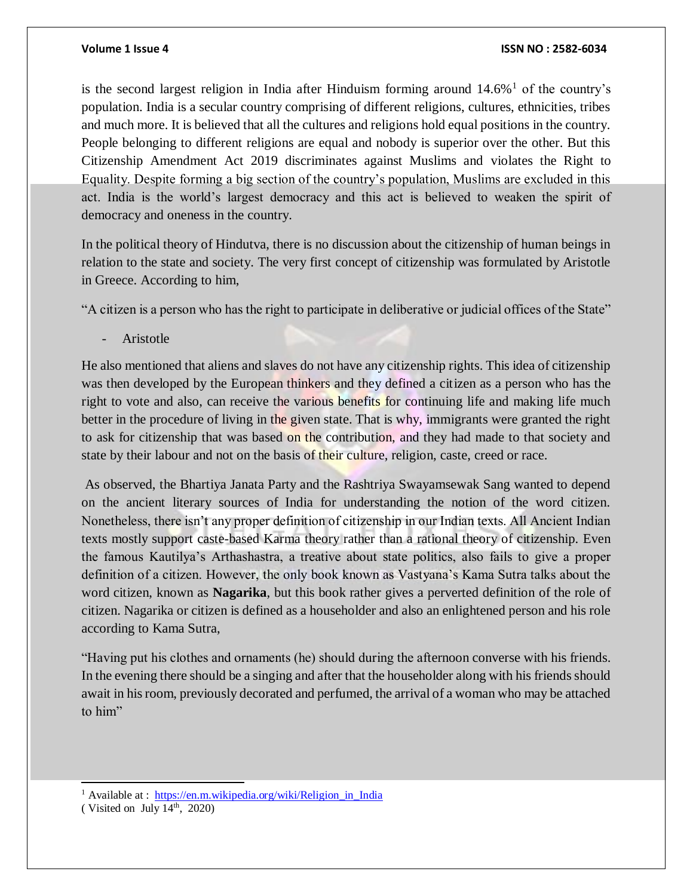is the second largest religion in India after Hinduism forming around  $14.6\%$ <sup>1</sup> of the country's population. India is a secular country comprising of different religions, cultures, ethnicities, tribes and much more. It is believed that all the cultures and religions hold equal positions in the country. People belonging to different religions are equal and nobody is superior over the other. But this Citizenship Amendment Act 2019 discriminates against Muslims and violates the Right to Equality. Despite forming a big section of the country's population, Muslims are excluded in this act. India is the world's largest democracy and this act is believed to weaken the spirit of democracy and oneness in the country.

In the political theory of Hindutva, there is no discussion about the citizenship of human beings in relation to the state and society. The very first concept of citizenship was formulated by Aristotle in Greece. According to him,

"A citizen is a person who has the right to participate in deliberative or judicial offices of the State"

**Aristotle** 

He also mentioned that aliens and slaves do not have any citizenship rights. This idea of citizenship was then developed by the European thinkers and they defined a citizen as a person who has the right to vote and also, can receive the various benefits for continuing life and making life much better in the procedure of living in the given state. That is why, immigrants were granted the right to ask for citizenship that was based on the contribution, and they had made to that society and state by their labour and not on the basis of their culture, religion, caste, creed or race.

As observed, the Bhartiya Janata Party and the Rashtriya Swayamsewak Sang wanted to depend on the ancient literary sources of India for understanding the notion of the word citizen. Nonetheless, there isn't any proper definition of citizenship in our Indian texts. All Ancient Indian texts mostly support caste-based Karma theory rather than a rational theory of citizenship. Even the famous Kautilya's Arthashastra, a treative about state politics, also fails to give a proper definition of a citizen. However, the only book known as Vastyana's Kama Sutra talks about the word citizen, known as **Nagarika**, but this book rather gives a perverted definition of the role of citizen. Nagarika or citizen is defined as a householder and also an enlightened person and his role according to Kama Sutra,

"Having put his clothes and ornaments (he) should during the afternoon converse with his friends. In the evening there should be a singing and after that the householder along with his friends should await in his room, previously decorated and perfumed, the arrival of a woman who may be attached to him"

<sup>1</sup> Available at : [https://en.m.wikipedia.org/wiki/Religion\\_in\\_India](https://en.m.wikipedia.org/wiki/Religion_in_India)

l

<sup>(</sup> Visited on July  $14<sup>th</sup>$ , 2020)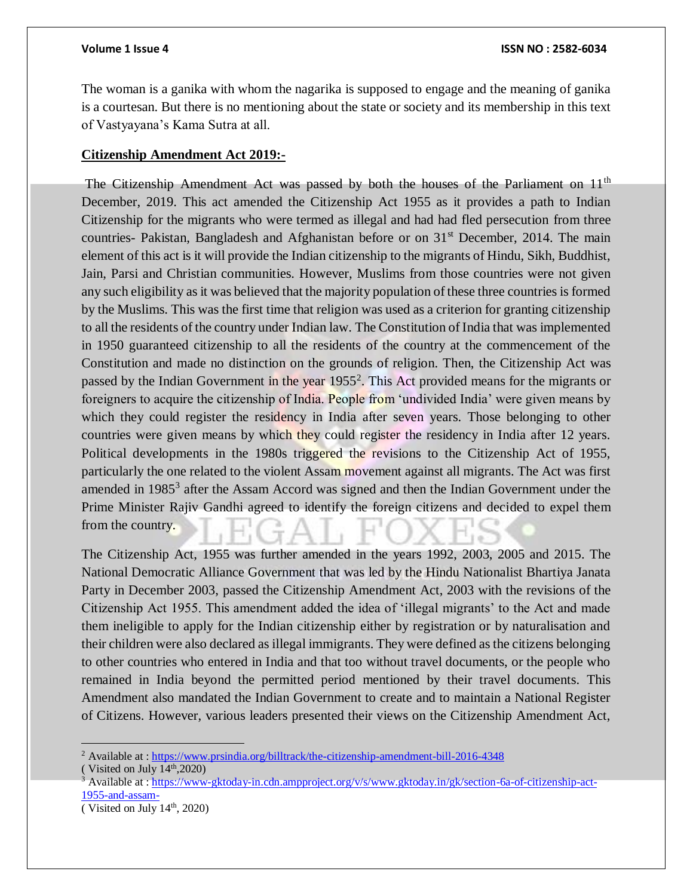The woman is a ganika with whom the nagarika is supposed to engage and the meaning of ganika is a courtesan. But there is no mentioning about the state or society and its membership in this text of Vastyayana's Kama Sutra at all.

### **Citizenship Amendment Act 2019:-**

The Citizenship Amendment Act was passed by both the houses of the Parliament on  $11<sup>th</sup>$ December, 2019. This act amended the Citizenship Act 1955 as it provides a path to Indian Citizenship for the migrants who were termed as illegal and had had fled persecution from three countries- Pakistan, Bangladesh and Afghanistan before or on 31<sup>st</sup> December, 2014. The main element of this act is it will provide the Indian citizenship to the migrants of Hindu, Sikh, Buddhist, Jain, Parsi and Christian communities. However, Muslims from those countries were not given any such eligibility as it was believed that the majority population of these three countries is formed by the Muslims. This was the first time that religion was used as a criterion for granting citizenship to all the residents of the country under Indian law. The Constitution of India that was implemented in 1950 guaranteed citizenship to all the residents of the country at the commencement of the Constitution and made no distinction on the grounds of religion. Then, the Citizenship Act was passed by the Indian Government in the year 1955<sup>2</sup>. This Act provided means for the migrants or foreigners to acquire the citizenship of India. People from 'undivided India' were given means by which they could register the residency in India after seven years. Those belonging to other countries were given means by which they could register the residency in India after 12 years. Political developments in the 1980s triggered the revisions to the Citizenship Act of 1955, particularly the one related to the violent Assam movement against all migrants. The Act was first amended in 1985<sup>3</sup> after the Assam Accord was signed and then the Indian Government under the Prime Minister Rajiv Gandhi agreed to identify the foreign citizens and decided to expel them from the country.

The Citizenship Act, 1955 was further amended in the years 1992, 2003, 2005 and 2015. The National Democratic Alliance Government that was led by the Hindu Nationalist Bhartiya Janata Party in December 2003, passed the Citizenship Amendment Act, 2003 with the revisions of the Citizenship Act 1955. This amendment added the idea of 'illegal migrants' to the Act and made them ineligible to apply for the Indian citizenship either by registration or by naturalisation and their children were also declared as illegal immigrants. They were defined as the citizens belonging to other countries who entered in India and that too without travel documents, or the people who remained in India beyond the permitted period mentioned by their travel documents. This Amendment also mandated the Indian Government to create and to maintain a National Register of Citizens. However, various leaders presented their views on the Citizenship Amendment Act,

 $\overline{a}$ 

<sup>2</sup> Available at :<https://www.prsindia.org/billtrack/the-citizenship-amendment-bill-2016-4348>

<sup>(</sup> Visited on July  $14<sup>th</sup>,2020$ )

<sup>&</sup>lt;sup>3</sup> Available at : [https://www-gktoday-in.cdn.ampproject.org/v/s/www.gktoday.in/gk/section-6a-of-citizenship-act-](https://www-gktoday-in.cdn.ampproject.org/v/s/www.gktoday.in/gk/section-6a-of-citizenship-act-1955-and-assam-)[1955-and-assam-](https://www-gktoday-in.cdn.ampproject.org/v/s/www.gktoday.in/gk/section-6a-of-citizenship-act-1955-and-assam-)

<sup>(</sup> Visited on July  $14<sup>th</sup>$ , 2020)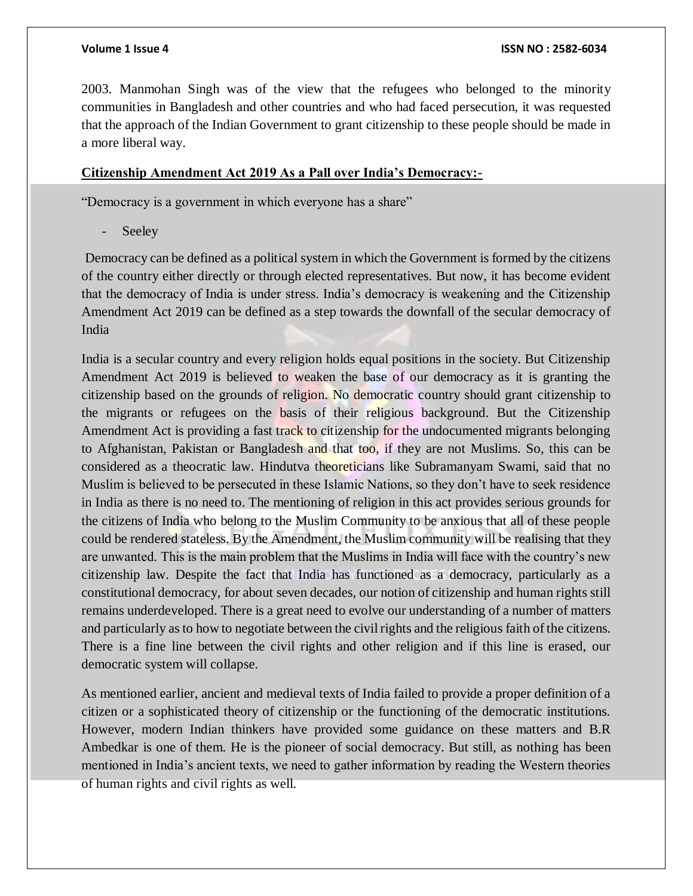2003. Manmohan Singh was of the view that the refugees who belonged to the minority communities in Bangladesh and other countries and who had faced persecution, it was requested that the approach of the Indian Government to grant citizenship to these people should be made in a more liberal way.

# **Citizenship Amendment Act 2019 As a Pall over India's Democracy:-**

"Democracy is a government in which everyone has a share"

Seeley

Democracy can be defined as a political system in which the Government is formed by the citizens of the country either directly or through elected representatives. But now, it has become evident that the democracy of India is under stress. India's democracy is weakening and the Citizenship Amendment Act 2019 can be defined as a step towards the downfall of the secular democracy of India

India is a secular country and every religion holds equal positions in the society. But Citizenship Amendment Act 2019 is believed to weaken the base of our democracy as it is granting the citizenship based on the grounds of religion. No democratic country should grant citizenship to the migrants or refugees on the basis of their religious background. But the Citizenship Amendment Act is providing a fast track to citizenship for the undocumented migrants belonging to Afghanistan, Pakistan or Bangladesh and that too, if they are not Muslims. So, this can be considered as a theocratic law. Hindutva theoreticians like Subramanyam Swami, said that no Muslim is believed to be persecuted in these Islamic Nations, so they don't have to seek residence in India as there is no need to. The mentioning of religion in this act provides serious grounds for the citizens of India who belong to the Muslim Community to be anxious that all of these people could be rendered stateless. By the Amendment, the Muslim community will be realising that they are unwanted. This is the main problem that the Muslims in India will face with the country's new citizenship law. Despite the fact that India has functioned as a democracy, particularly as a constitutional democracy, for about seven decades, our notion of citizenship and human rights still remains underdeveloped. There is a great need to evolve our understanding of a number of matters and particularly as to how to negotiate between the civil rights and the religious faith of the citizens. There is a fine line between the civil rights and other religion and if this line is erased, our democratic system will collapse.

As mentioned earlier, ancient and medieval texts of India failed to provide a proper definition of a citizen or a sophisticated theory of citizenship or the functioning of the democratic institutions. However, modern Indian thinkers have provided some guidance on these matters and B.R Ambedkar is one of them. He is the pioneer of social democracy. But still, as nothing has been mentioned in India's ancient texts, we need to gather information by reading the Western theories of human rights and civil rights as well.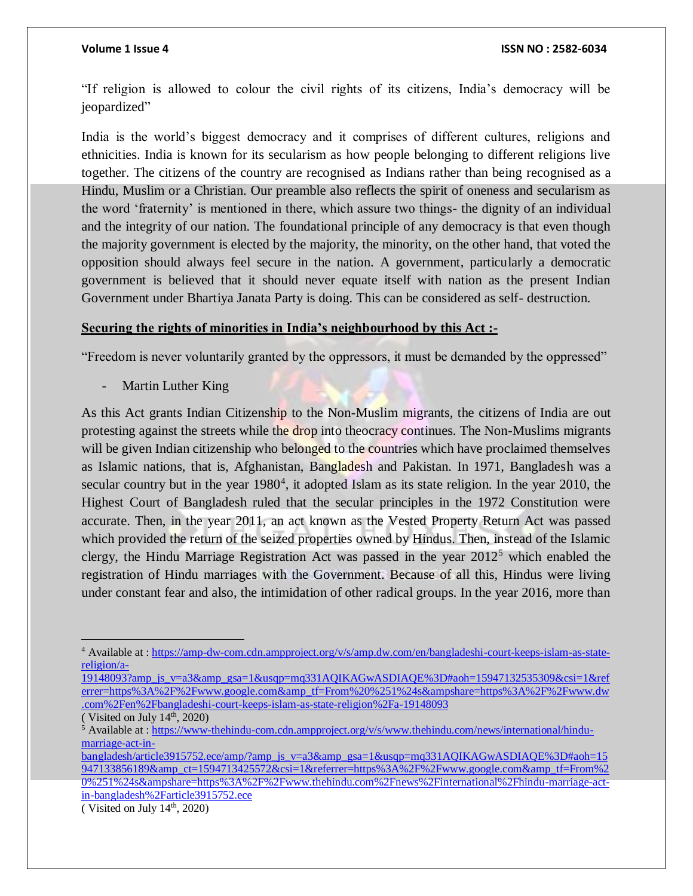"If religion is allowed to colour the civil rights of its citizens, India's democracy will be jeopardized"

India is the world's biggest democracy and it comprises of different cultures, religions and ethnicities. India is known for its secularism as how people belonging to different religions live together. The citizens of the country are recognised as Indians rather than being recognised as a Hindu, Muslim or a Christian. Our preamble also reflects the spirit of oneness and secularism as the word 'fraternity' is mentioned in there, which assure two things- the dignity of an individual and the integrity of our nation. The foundational principle of any democracy is that even though the majority government is elected by the majority, the minority, on the other hand, that voted the opposition should always feel secure in the nation. A government, particularly a democratic government is believed that it should never equate itself with nation as the present Indian Government under Bhartiya Janata Party is doing. This can be considered as self- destruction.

# **Securing the rights of minorities in India's neighbourhood by this Act :-**

"Freedom is never voluntarily granted by the oppressors, it must be demanded by the oppressed"

Martin Luther King

As this Act grants Indian Citizenship to the Non-Muslim migrants, the citizens of India are out protesting against the streets while the drop into theocracy continues. The Non-Muslims migrants will be given Indian citizenship who belonged to the countries which have proclaimed themselves as Islamic nations, that is, Afghanistan, Bangladesh and Pakistan. In 1971, Bangladesh was a secular country but in the year 1980<sup>4</sup>, it adopted Islam as its state religion. In the year 2010, the Highest Court of Bangladesh ruled that the secular principles in the 1972 Constitution were accurate. Then, in the year 2011, an act known as the Vested Property Return Act was passed which provided the return of the seized properties owned by Hindus. Then, instead of the Islamic clergy, the Hindu Marriage Registration Act was passed in the year  $2012<sup>5</sup>$  which enabled the registration of Hindu marriages with the Government. Because of all this, Hindus were living under constant fear and also, the intimidation of other radical groups. In the year 2016, more than

<sup>4</sup> Available at : [https://amp-dw-com.cdn.ampproject.org/v/s/amp.dw.com/en/bangladeshi-court-keeps-islam-as-state](https://amp-dw-com.cdn.ampproject.org/v/s/amp.dw.com/en/bangladeshi-court-keeps-islam-as-state-religion/a-19148093?amp_js_v=a3&_gsa=1&usqp=mq331AQIKAGwASDIAQE%3D#aoh=15947132535309&csi=1&referrer=https%3A%2F%2Fwww.google.com&_tf=From%20%251%24s&share=https%3A%2F%2Fwww.dw.com%2Fen%2Fbangladeshi-court-keeps-islam-as-state-religion%2Fa-19148093)[religion/a-](https://amp-dw-com.cdn.ampproject.org/v/s/amp.dw.com/en/bangladeshi-court-keeps-islam-as-state-religion/a-19148093?amp_js_v=a3&_gsa=1&usqp=mq331AQIKAGwASDIAQE%3D#aoh=15947132535309&csi=1&referrer=https%3A%2F%2Fwww.google.com&_tf=From%20%251%24s&share=https%3A%2F%2Fwww.dw.com%2Fen%2Fbangladeshi-court-keeps-islam-as-state-religion%2Fa-19148093)

[<sup>19148093?</sup>amp\\_js\\_v=a3&amp\\_gsa=1&usqp=mq331AQIKAGwASDIAQE%3D#aoh=15947132535309&csi=1&ref](https://amp-dw-com.cdn.ampproject.org/v/s/amp.dw.com/en/bangladeshi-court-keeps-islam-as-state-religion/a-19148093?amp_js_v=a3&_gsa=1&usqp=mq331AQIKAGwASDIAQE%3D#aoh=15947132535309&csi=1&referrer=https%3A%2F%2Fwww.google.com&_tf=From%20%251%24s&share=https%3A%2F%2Fwww.dw.com%2Fen%2Fbangladeshi-court-keeps-islam-as-state-religion%2Fa-19148093) [errer=https%3A%2F%2Fwww.google.com&amp\\_tf=From%20%251%24s&ampshare=https%3A%2F%2Fwww.dw](https://amp-dw-com.cdn.ampproject.org/v/s/amp.dw.com/en/bangladeshi-court-keeps-islam-as-state-religion/a-19148093?amp_js_v=a3&_gsa=1&usqp=mq331AQIKAGwASDIAQE%3D#aoh=15947132535309&csi=1&referrer=https%3A%2F%2Fwww.google.com&_tf=From%20%251%24s&share=https%3A%2F%2Fwww.dw.com%2Fen%2Fbangladeshi-court-keeps-islam-as-state-religion%2Fa-19148093) [.com%2Fen%2Fbangladeshi-court-keeps-islam-as-state-religion%2Fa-19148093](https://amp-dw-com.cdn.ampproject.org/v/s/amp.dw.com/en/bangladeshi-court-keeps-islam-as-state-religion/a-19148093?amp_js_v=a3&_gsa=1&usqp=mq331AQIKAGwASDIAQE%3D#aoh=15947132535309&csi=1&referrer=https%3A%2F%2Fwww.google.com&_tf=From%20%251%24s&share=https%3A%2F%2Fwww.dw.com%2Fen%2Fbangladeshi-court-keeps-islam-as-state-religion%2Fa-19148093)

<sup>(</sup> Visited on July  $14<sup>th</sup>$ , 2020)

 $5$  Available at : [https://www-thehindu-com.cdn.ampproject.org/v/s/www.thehindu.com/news/international/hindu](https://www-thehindu-com.cdn.ampproject.org/v/s/www.thehindu.com/news/international/hindu-marriage-act-in-bangladesh/article3915752.ece/amp/?amp_js_v=a3&_gsa=1&usqp=mq331AQIKAGwASDIAQE%3D#aoh=15947133856189&_ct=1594713425572&csi=1&referrer=https%3A%2F%2Fwww.google.com&_tf=From%20%251%24s&share=https%3A%2F%2Fwww.thehindu.com%2Fnews%2Finternational%2Fhindu-marriage-act-in-bangladesh%2Farticle3915752.ece)[marriage-act-in-](https://www-thehindu-com.cdn.ampproject.org/v/s/www.thehindu.com/news/international/hindu-marriage-act-in-bangladesh/article3915752.ece/amp/?amp_js_v=a3&_gsa=1&usqp=mq331AQIKAGwASDIAQE%3D#aoh=15947133856189&_ct=1594713425572&csi=1&referrer=https%3A%2F%2Fwww.google.com&_tf=From%20%251%24s&share=https%3A%2F%2Fwww.thehindu.com%2Fnews%2Finternational%2Fhindu-marriage-act-in-bangladesh%2Farticle3915752.ece)

[bangladesh/article3915752.ece/amp/?amp\\_js\\_v=a3&amp\\_gsa=1&usqp=mq331AQIKAGwASDIAQE%3D#aoh=15](https://www-thehindu-com.cdn.ampproject.org/v/s/www.thehindu.com/news/international/hindu-marriage-act-in-bangladesh/article3915752.ece/amp/?amp_js_v=a3&_gsa=1&usqp=mq331AQIKAGwASDIAQE%3D#aoh=15947133856189&_ct=1594713425572&csi=1&referrer=https%3A%2F%2Fwww.google.com&_tf=From%20%251%24s&share=https%3A%2F%2Fwww.thehindu.com%2Fnews%2Finternational%2Fhindu-marriage-act-in-bangladesh%2Farticle3915752.ece) [947133856189&amp\\_ct=1594713425572&csi=1&referrer=https%3A%2F%2Fwww.google.com&amp\\_tf=From%2](https://www-thehindu-com.cdn.ampproject.org/v/s/www.thehindu.com/news/international/hindu-marriage-act-in-bangladesh/article3915752.ece/amp/?amp_js_v=a3&_gsa=1&usqp=mq331AQIKAGwASDIAQE%3D#aoh=15947133856189&_ct=1594713425572&csi=1&referrer=https%3A%2F%2Fwww.google.com&_tf=From%20%251%24s&share=https%3A%2F%2Fwww.thehindu.com%2Fnews%2Finternational%2Fhindu-marriage-act-in-bangladesh%2Farticle3915752.ece) [0%251%24s&ampshare=https%3A%2F%2Fwww.thehindu.com%2Fnews%2Finternational%2Fhindu-marriage-act](https://www-thehindu-com.cdn.ampproject.org/v/s/www.thehindu.com/news/international/hindu-marriage-act-in-bangladesh/article3915752.ece/amp/?amp_js_v=a3&_gsa=1&usqp=mq331AQIKAGwASDIAQE%3D#aoh=15947133856189&_ct=1594713425572&csi=1&referrer=https%3A%2F%2Fwww.google.com&_tf=From%20%251%24s&share=https%3A%2F%2Fwww.thehindu.com%2Fnews%2Finternational%2Fhindu-marriage-act-in-bangladesh%2Farticle3915752.ece)[in-bangladesh%2Farticle3915752.ece](https://www-thehindu-com.cdn.ampproject.org/v/s/www.thehindu.com/news/international/hindu-marriage-act-in-bangladesh/article3915752.ece/amp/?amp_js_v=a3&_gsa=1&usqp=mq331AQIKAGwASDIAQE%3D#aoh=15947133856189&_ct=1594713425572&csi=1&referrer=https%3A%2F%2Fwww.google.com&_tf=From%20%251%24s&share=https%3A%2F%2Fwww.thehindu.com%2Fnews%2Finternational%2Fhindu-marriage-act-in-bangladesh%2Farticle3915752.ece)

 $(Visited on July 14<sup>th</sup>, 2020)$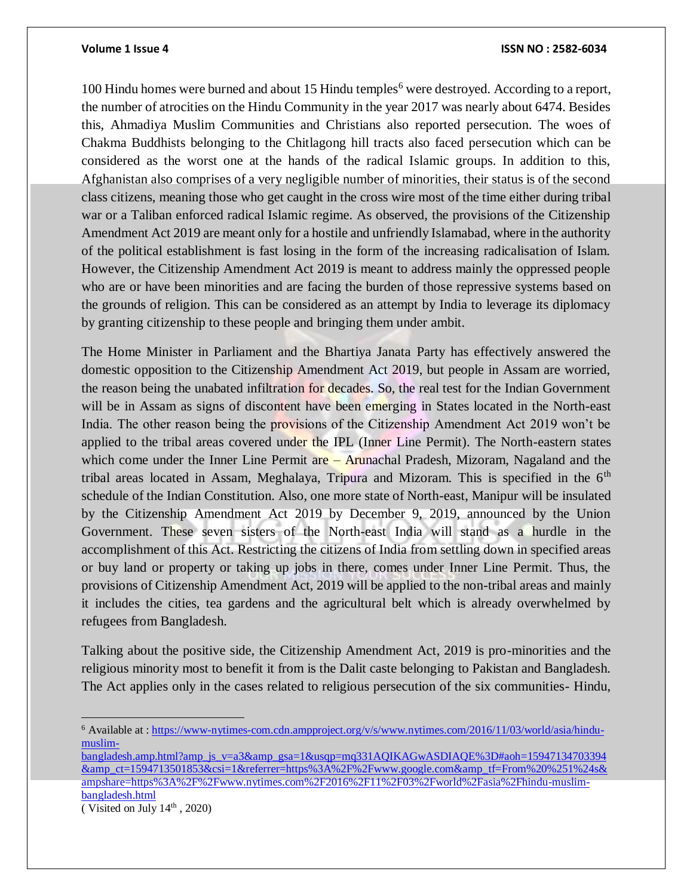100 Hindu homes were burned and about 15 Hindu temples<sup>6</sup> were destroyed. According to a report, the number of atrocities on the Hindu Community in the year 2017 was nearly about 6474. Besides this, Ahmadiya Muslim Communities and Christians also reported persecution. The woes of Chakma Buddhists belonging to the Chitlagong hill tracts also faced persecution which can be considered as the worst one at the hands of the radical Islamic groups. In addition to this, Afghanistan also comprises of a very negligible number of minorities, their status is of the second class citizens, meaning those who get caught in the cross wire most of the time either during tribal war or a Taliban enforced radical Islamic regime. As observed, the provisions of the Citizenship Amendment Act 2019 are meant only for a hostile and unfriendly Islamabad, where in the authority of the political establishment is fast losing in the form of the increasing radicalisation of Islam. However, the Citizenship Amendment Act 2019 is meant to address mainly the oppressed people who are or have been minorities and are facing the burden of those repressive systems based on the grounds of religion. This can be considered as an attempt by India to leverage its diplomacy by granting citizenship to these people and bringing them under ambit.

The Home Minister in Parliament and the Bhartiya Janata Party has effectively answered the domestic opposition to the Citizenship Amendment Act 2019, but people in Assam are worried, the reason being the unabated infiltration for decades. So, the real test for the Indian Government will be in Assam as signs of discontent have been emerging in States located in the North-east India. The other reason being the provisions of the Citizenship Amendment Act 2019 won't be applied to the tribal areas covered under the IPL (Inner Line Permit). The North-eastern states which come under the Inner Line Permit are – Arunachal Pradesh, Mizoram, Nagaland and the tribal areas located in Assam, Meghalaya, Tripura and Mizoram. This is specified in the  $6<sup>th</sup>$ schedule of the Indian Constitution. Also, one more state of North-east, Manipur will be insulated by the Citizenship Amendment Act 2019 by December 9, 2019, announced by the Union Government. These seven sisters of the North-east India will stand as a hurdle in the accomplishment of this Act. Restricting the citizens of India from settling down in specified areas or buy land or property or taking up jobs in there, comes under Inner Line Permit. Thus, the provisions of Citizenship Amendment Act, 2019 will be applied to the non-tribal areas and mainly it includes the cities, tea gardens and the agricultural belt which is already overwhelmed by refugees from Bangladesh.

Talking about the positive side, the Citizenship Amendment Act, 2019 is pro-minorities and the religious minority most to benefit it from is the Dalit caste belonging to Pakistan and Bangladesh. The Act applies only in the cases related to religious persecution of the six communities- Hindu,

 $\overline{a}$ <sup>6</sup> Available at : [https://www-nytimes-com.cdn.ampproject.org/v/s/www.nytimes.com/2016/11/03/world/asia/hindu](https://www-nytimes-com.cdn.ampproject.org/v/s/www.nytimes.com/2016/11/03/world/asia/hindu-muslim-bangladesh.amp.html?amp_js_v=a3&_gsa=1&usqp=mq331AQIKAGwASDIAQE%3D#aoh=15947134703394&_ct=1594713501853&csi=1&referrer=https%3A%2F%2Fwww.google.com&_tf=From%20%251%24s&share=https%3A%2F%2Fwww.nytimes.com%2F2016%2F11%2F03%2Fworld%2Fasia%2Fhindu-muslim-bangladesh.html)[muslim-](https://www-nytimes-com.cdn.ampproject.org/v/s/www.nytimes.com/2016/11/03/world/asia/hindu-muslim-bangladesh.amp.html?amp_js_v=a3&_gsa=1&usqp=mq331AQIKAGwASDIAQE%3D#aoh=15947134703394&_ct=1594713501853&csi=1&referrer=https%3A%2F%2Fwww.google.com&_tf=From%20%251%24s&share=https%3A%2F%2Fwww.nytimes.com%2F2016%2F11%2F03%2Fworld%2Fasia%2Fhindu-muslim-bangladesh.html)

[bangladesh.amp.html?amp\\_js\\_v=a3&amp\\_gsa=1&usqp=mq331AQIKAGwASDIAQE%3D#aoh=15947134703394](https://www-nytimes-com.cdn.ampproject.org/v/s/www.nytimes.com/2016/11/03/world/asia/hindu-muslim-bangladesh.amp.html?amp_js_v=a3&_gsa=1&usqp=mq331AQIKAGwASDIAQE%3D#aoh=15947134703394&_ct=1594713501853&csi=1&referrer=https%3A%2F%2Fwww.google.com&_tf=From%20%251%24s&share=https%3A%2F%2Fwww.nytimes.com%2F2016%2F11%2F03%2Fworld%2Fasia%2Fhindu-muslim-bangladesh.html) [&amp\\_ct=1594713501853&csi=1&referrer=https%3A%2F%2Fwww.google.com&amp\\_tf=From%20%251%24s&](https://www-nytimes-com.cdn.ampproject.org/v/s/www.nytimes.com/2016/11/03/world/asia/hindu-muslim-bangladesh.amp.html?amp_js_v=a3&_gsa=1&usqp=mq331AQIKAGwASDIAQE%3D#aoh=15947134703394&_ct=1594713501853&csi=1&referrer=https%3A%2F%2Fwww.google.com&_tf=From%20%251%24s&share=https%3A%2F%2Fwww.nytimes.com%2F2016%2F11%2F03%2Fworld%2Fasia%2Fhindu-muslim-bangladesh.html) [ampshare=https%3A%2F%2Fwww.nytimes.com%2F2016%2F11%2F03%2Fworld%2Fasia%2Fhindu-muslim](https://www-nytimes-com.cdn.ampproject.org/v/s/www.nytimes.com/2016/11/03/world/asia/hindu-muslim-bangladesh.amp.html?amp_js_v=a3&_gsa=1&usqp=mq331AQIKAGwASDIAQE%3D#aoh=15947134703394&_ct=1594713501853&csi=1&referrer=https%3A%2F%2Fwww.google.com&_tf=From%20%251%24s&share=https%3A%2F%2Fwww.nytimes.com%2F2016%2F11%2F03%2Fworld%2Fasia%2Fhindu-muslim-bangladesh.html)[bangladesh.html](https://www-nytimes-com.cdn.ampproject.org/v/s/www.nytimes.com/2016/11/03/world/asia/hindu-muslim-bangladesh.amp.html?amp_js_v=a3&_gsa=1&usqp=mq331AQIKAGwASDIAQE%3D#aoh=15947134703394&_ct=1594713501853&csi=1&referrer=https%3A%2F%2Fwww.google.com&_tf=From%20%251%24s&share=https%3A%2F%2Fwww.nytimes.com%2F2016%2F11%2F03%2Fworld%2Fasia%2Fhindu-muslim-bangladesh.html)

<sup>(</sup> Visited on July  $14<sup>th</sup>$ , 2020)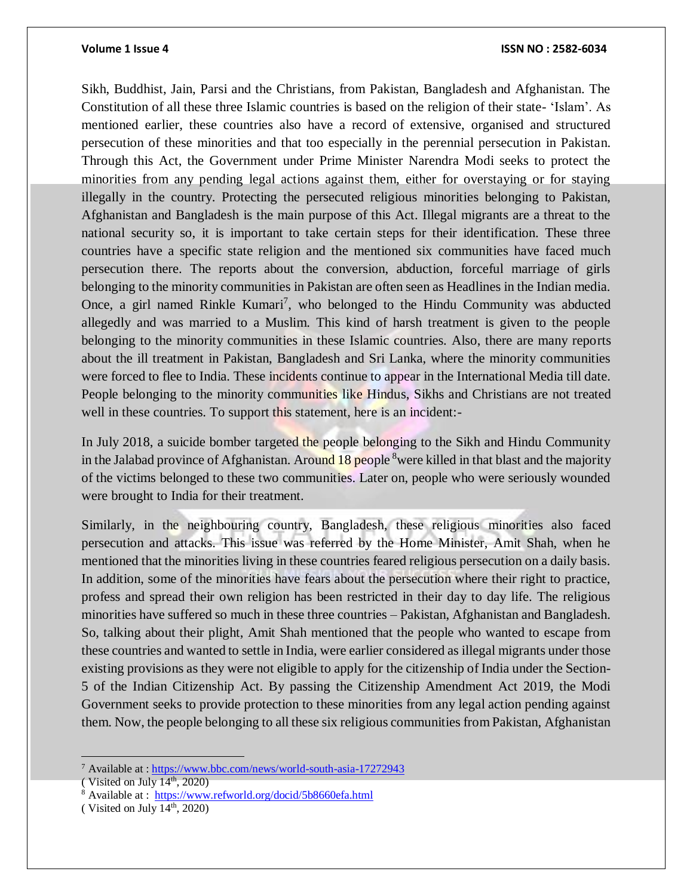Sikh, Buddhist, Jain, Parsi and the Christians, from Pakistan, Bangladesh and Afghanistan. The Constitution of all these three Islamic countries is based on the religion of their state- 'Islam'. As mentioned earlier, these countries also have a record of extensive, organised and structured persecution of these minorities and that too especially in the perennial persecution in Pakistan. Through this Act, the Government under Prime Minister Narendra Modi seeks to protect the minorities from any pending legal actions against them, either for overstaying or for staying illegally in the country. Protecting the persecuted religious minorities belonging to Pakistan, Afghanistan and Bangladesh is the main purpose of this Act. Illegal migrants are a threat to the national security so, it is important to take certain steps for their identification. These three countries have a specific state religion and the mentioned six communities have faced much persecution there. The reports about the conversion, abduction, forceful marriage of girls belonging to the minority communities in Pakistan are often seen as Headlines in the Indian media. Once, a girl named Rinkle Kumari<sup>7</sup>, who belonged to the Hindu Community was abducted allegedly and was married to a Muslim. This kind of harsh treatment is given to the people belonging to the minority communities in these Islamic countries. Also, there are many reports about the ill treatment in Pakistan, Bangladesh and Sri Lanka, where the minority communities were forced to flee to India. These incidents continue to appear in the International Media till date. People belonging to the minority communities like Hindus, Sikhs and Christians are not treated well in these countries. To support this statement, here is an incident:-

In July 2018, a suicide bomber targeted the people belonging to the Sikh and Hindu Community in the Jalabad province of Afghanistan. Around 18 people <sup>8</sup>were killed in that blast and the majority of the victims belonged to these two communities. Later on, people who were seriously wounded were brought to India for their treatment.

Similarly, in the neighbouring country, Bangladesh, these religious minorities also faced persecution and attacks. This issue was referred by the Home Minister, Amit Shah, when he mentioned that the minorities living in these countries feared religious persecution on a daily basis. In addition, some of the minorities have fears about the persecution where their right to practice, profess and spread their own religion has been restricted in their day to day life. The religious minorities have suffered so much in these three countries – Pakistan, Afghanistan and Bangladesh. So, talking about their plight, Amit Shah mentioned that the people who wanted to escape from these countries and wanted to settle in India, were earlier considered as illegal migrants under those existing provisions as they were not eligible to apply for the citizenship of India under the Section-5 of the Indian Citizenship Act. By passing the Citizenship Amendment Act 2019, the Modi Government seeks to provide protection to these minorities from any legal action pending against them. Now, the people belonging to all these six religious communities from Pakistan, Afghanistan

<sup>7</sup> Available at :<https://www.bbc.com/news/world-south-asia-17272943>

<sup>(</sup> Visited on July  $14<sup>th</sup>$ , 2020)

<sup>8</sup> Available at:<https://www.refworld.org/docid/5b8660efa.html>

<sup>(</sup> Visited on July  $14<sup>th</sup>$ , 2020)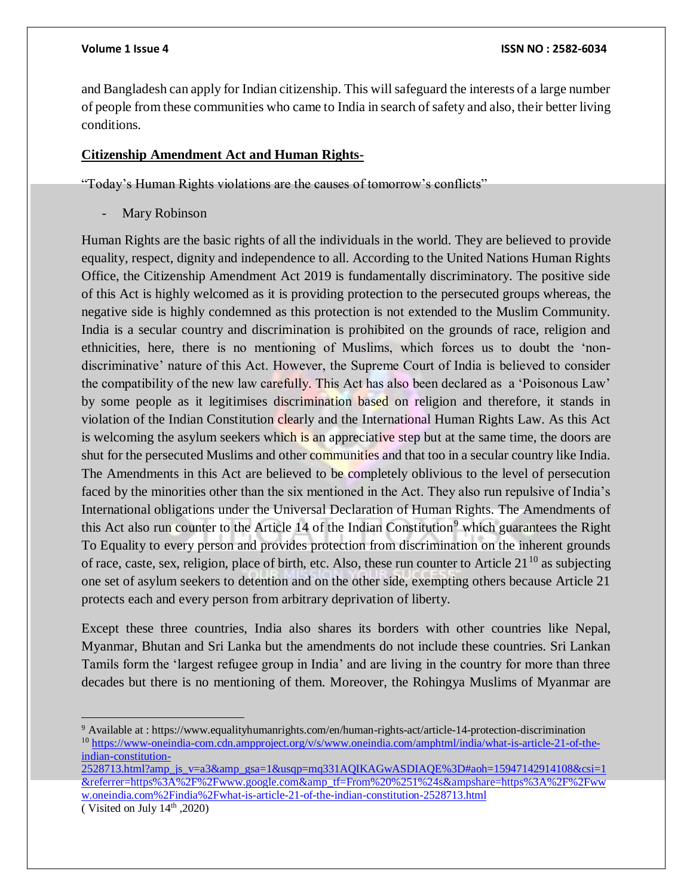and Bangladesh can apply for Indian citizenship. This will safeguard the interests of a large number of people from these communities who came to India in search of safety and also, their better living conditions.

# **Citizenship Amendment Act and Human Rights-**

"Today's Human Rights violations are the causes of tomorrow's conflicts"

Mary Robinson

Human Rights are the basic rights of all the individuals in the world. They are believed to provide equality, respect, dignity and independence to all. According to the United Nations Human Rights Office, the Citizenship Amendment Act 2019 is fundamentally discriminatory. The positive side of this Act is highly welcomed as it is providing protection to the persecuted groups whereas, the negative side is highly condemned as this protection is not extended to the Muslim Community. India is a secular country and discrimination is prohibited on the grounds of race, religion and ethnicities, here, there is no mentioning of Muslims, which forces us to doubt the 'nondiscriminative' nature of this Act. However, the Supreme Court of India is believed to consider the compatibility of the new law carefully. This Act has also been declared as a 'Poisonous Law' by some people as it legitimises discrimination based on religion and therefore, it stands in violation of the Indian Constitution clearly and the International Human Rights Law. As this Act is welcoming the asylum seekers which is an appreciative step but at the same time, the doors are shut for the persecuted Muslims and other communities and that too in a secular country like India. The Amendments in this Act are believed to be completely oblivious to the level of persecution faced by the minorities other than the six mentioned in the Act. They also run repulsive of India's International obligations under the Universal Declaration of Human Rights. The Amendments of this Act also run counter to the Article 14 of the Indian Constitution<sup>9</sup> which guarantees the Right To Equality to every person and provides protection from discrimination on the inherent grounds of race, caste, sex, religion, place of birth, etc. Also, these run counter to Article  $21^{10}$  as subjecting one set of asylum seekers to detention and on the other side, exempting others because Article 21 protects each and every person from arbitrary deprivation of liberty.

Except these three countries, India also shares its borders with other countries like Nepal, Myanmar, Bhutan and Sri Lanka but the amendments do not include these countries. Sri Lankan Tamils form the 'largest refugee group in India' and are living in the country for more than three decades but there is no mentioning of them. Moreover, the Rohingya Muslims of Myanmar are

 $\overline{a}$ <sup>9</sup> Available at : https://www.equalityhumanrights.com/en/human-rights-act/article-14-protection-discrimination <sup>10</sup> [https://www-oneindia-com.cdn.ampproject.org/v/s/www.oneindia.com/amphtml/india/what-is-article-21-of-the](https://www-oneindia-com.cdn.ampproject.org/v/s/www.oneindia.com/amphtml/india/what-is-article-21-of-the-indian-constitution-2528713.html?amp_js_v=a3&_gsa=1&usqp=mq331AQIKAGwASDIAQE%3D#aoh=15947142914108&csi=1&referrer=https%3A%2F%2Fwww.google.com&_tf=From%20%251%24s&share=https%3A%2F%2Fwww.oneindia.com%2Findia%2Fwhat-is-article-21-of-the-indian-constitution-2528713.html)[indian-constitution-](https://www-oneindia-com.cdn.ampproject.org/v/s/www.oneindia.com/amphtml/india/what-is-article-21-of-the-indian-constitution-2528713.html?amp_js_v=a3&_gsa=1&usqp=mq331AQIKAGwASDIAQE%3D#aoh=15947142914108&csi=1&referrer=https%3A%2F%2Fwww.google.com&_tf=From%20%251%24s&share=https%3A%2F%2Fwww.oneindia.com%2Findia%2Fwhat-is-article-21-of-the-indian-constitution-2528713.html)

 $2528713$ .html?amp\_js\_v=a3&amp\_gsa=1&usqp=mq331AQIKAGwASDIAQE%3D#aoh=15947142914108&csi=1 [&referrer=https%3A%2F%2Fwww.google.com&amp\\_tf=From%20%251%24s&ampshare=https%3A%2F%2Fww](https://www-oneindia-com.cdn.ampproject.org/v/s/www.oneindia.com/amphtml/india/what-is-article-21-of-the-indian-constitution-2528713.html?amp_js_v=a3&_gsa=1&usqp=mq331AQIKAGwASDIAQE%3D#aoh=15947142914108&csi=1&referrer=https%3A%2F%2Fwww.google.com&_tf=From%20%251%24s&share=https%3A%2F%2Fwww.oneindia.com%2Findia%2Fwhat-is-article-21-of-the-indian-constitution-2528713.html) [w.oneindia.com%2Findia%2Fwhat-is-article-21-of-the-indian-constitution-2528713.html](https://www-oneindia-com.cdn.ampproject.org/v/s/www.oneindia.com/amphtml/india/what-is-article-21-of-the-indian-constitution-2528713.html?amp_js_v=a3&_gsa=1&usqp=mq331AQIKAGwASDIAQE%3D#aoh=15947142914108&csi=1&referrer=https%3A%2F%2Fwww.google.com&_tf=From%20%251%24s&share=https%3A%2F%2Fwww.oneindia.com%2Findia%2Fwhat-is-article-21-of-the-indian-constitution-2528713.html)

<sup>(</sup> Visited on July  $14<sup>th</sup>$ , 2020)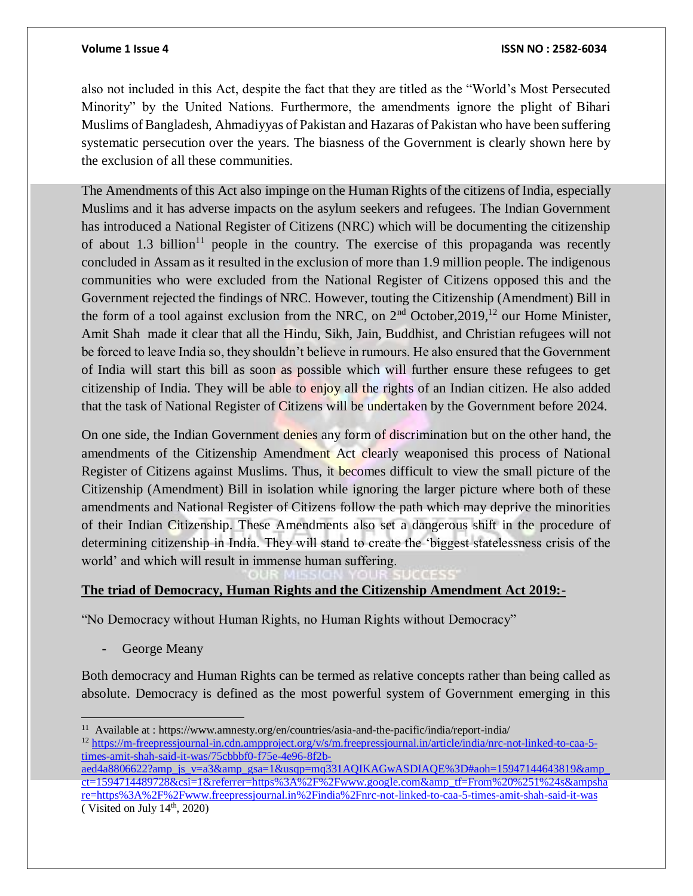also not included in this Act, despite the fact that they are titled as the "World's Most Persecuted Minority" by the United Nations. Furthermore, the amendments ignore the plight of Bihari Muslims of Bangladesh, Ahmadiyyas of Pakistan and Hazaras of Pakistan who have been suffering systematic persecution over the years. The biasness of the Government is clearly shown here by the exclusion of all these communities.

The Amendments of this Act also impinge on the Human Rights of the citizens of India, especially Muslims and it has adverse impacts on the asylum seekers and refugees. The Indian Government has introduced a National Register of Citizens (NRC) which will be documenting the citizenship of about 1.3 billion<sup>11</sup> people in the country. The exercise of this propaganda was recently concluded in Assam as it resulted in the exclusion of more than 1.9 million people. The indigenous communities who were excluded from the National Register of Citizens opposed this and the Government rejected the findings of NRC. However, touting the Citizenship (Amendment) Bill in the form of a tool against exclusion from the NRC, on  $2<sup>nd</sup>$  October,  $2019$ ,<sup>12</sup> our Home Minister, Amit Shah made it clear that all the Hindu, Sikh, Jain, Buddhist, and Christian refugees will not be forced to leave India so, they shouldn't believe in rumours. He also ensured that the Government of India will start this bill as soon as possible which will further ensure these refugees to get citizenship of India. They will be able to enjoy all the rights of an Indian citizen. He also added that the task of National Register of Citizens will be undertaken by the Government before 2024.

On one side, the Indian Government denies any form of discrimination but on the other hand, the amendments of the Citizenship Amendment Act clearly weaponised this process of National Register of Citizens against Muslims. Thus, it becomes difficult to view the small picture of the Citizenship (Amendment) Bill in isolation while ignoring the larger picture where both of these amendments and National Register of Citizens follow the path which may deprive the minorities of their Indian Citizenship. These Amendments also set a dangerous shift in the procedure of determining citizenship in India. They will stand to create the 'biggest statelessness crisis of the world' and which will result in immense human suffering.

# **The triad of Democracy, Human Rights and the Citizenship Amendment Act 2019:-**

"No Democracy without Human Rights, no Human Rights without Democracy"

George Meany

Both democracy and Human Rights can be termed as relative concepts rather than being called as absolute. Democracy is defined as the most powerful system of Government emerging in this

 $\overline{a}$ <sup>11</sup> Available at : https://www.amnesty.org/en/countries/asia-and-the-pacific/india/report-india/

<sup>&</sup>lt;sup>12</sup> [https://m-freepressjournal-in.cdn.ampproject.org/v/s/m.freepressjournal.in/article/india/nrc-not-linked-to-caa-5](https://m-freepressjournal-in.cdn.ampproject.org/v/s/m.freepressjournal.in/article/india/nrc-not-linked-to-caa-5-times-amit-shah-said-it-was/75cbbbf0-f75e-4e96-8f2b-aed4a8806622?amp_js_v=a3&_gsa=1&usqp=mq331AQIKAGwASDIAQE%3D#aoh=15947144643819&_ct=1594714489728&csi=1&referrer=https%3A%2F%2Fwww.google.com&_tf=From%20%251%24s&share=https%3A%2F%2Fwww.freepressjournal.in%2Findia%2Fnrc-not-linked-to-caa-5-times-amit-shah-said-it-was) [times-amit-shah-said-it-was/75cbbbf0-f75e-4e96-8f2b-](https://m-freepressjournal-in.cdn.ampproject.org/v/s/m.freepressjournal.in/article/india/nrc-not-linked-to-caa-5-times-amit-shah-said-it-was/75cbbbf0-f75e-4e96-8f2b-aed4a8806622?amp_js_v=a3&_gsa=1&usqp=mq331AQIKAGwASDIAQE%3D#aoh=15947144643819&_ct=1594714489728&csi=1&referrer=https%3A%2F%2Fwww.google.com&_tf=From%20%251%24s&share=https%3A%2F%2Fwww.freepressjournal.in%2Findia%2Fnrc-not-linked-to-caa-5-times-amit-shah-said-it-was)

[aed4a8806622?amp\\_js\\_v=a3&amp\\_gsa=1&usqp=mq331AQIKAGwASDIAQE%3D#aoh=15947144643819&amp\\_](https://m-freepressjournal-in.cdn.ampproject.org/v/s/m.freepressjournal.in/article/india/nrc-not-linked-to-caa-5-times-amit-shah-said-it-was/75cbbbf0-f75e-4e96-8f2b-aed4a8806622?amp_js_v=a3&_gsa=1&usqp=mq331AQIKAGwASDIAQE%3D#aoh=15947144643819&_ct=1594714489728&csi=1&referrer=https%3A%2F%2Fwww.google.com&_tf=From%20%251%24s&share=https%3A%2F%2Fwww.freepressjournal.in%2Findia%2Fnrc-not-linked-to-caa-5-times-amit-shah-said-it-was) [ct=1594714489728&csi=1&referrer=https%3A%2F%2Fwww.google.com&amp\\_tf=From%20%251%24s&ampsha](https://m-freepressjournal-in.cdn.ampproject.org/v/s/m.freepressjournal.in/article/india/nrc-not-linked-to-caa-5-times-amit-shah-said-it-was/75cbbbf0-f75e-4e96-8f2b-aed4a8806622?amp_js_v=a3&_gsa=1&usqp=mq331AQIKAGwASDIAQE%3D#aoh=15947144643819&_ct=1594714489728&csi=1&referrer=https%3A%2F%2Fwww.google.com&_tf=From%20%251%24s&share=https%3A%2F%2Fwww.freepressjournal.in%2Findia%2Fnrc-not-linked-to-caa-5-times-amit-shah-said-it-was) [re=https%3A%2F%2Fwww.freepressjournal.in%2Findia%2Fnrc-not-linked-to-caa-5-times-amit-shah-said-it-was](https://m-freepressjournal-in.cdn.ampproject.org/v/s/m.freepressjournal.in/article/india/nrc-not-linked-to-caa-5-times-amit-shah-said-it-was/75cbbbf0-f75e-4e96-8f2b-aed4a8806622?amp_js_v=a3&_gsa=1&usqp=mq331AQIKAGwASDIAQE%3D#aoh=15947144643819&_ct=1594714489728&csi=1&referrer=https%3A%2F%2Fwww.google.com&_tf=From%20%251%24s&share=https%3A%2F%2Fwww.freepressjournal.in%2Findia%2Fnrc-not-linked-to-caa-5-times-amit-shah-said-it-was) ( Visited on July  $14<sup>th</sup>$ , 2020)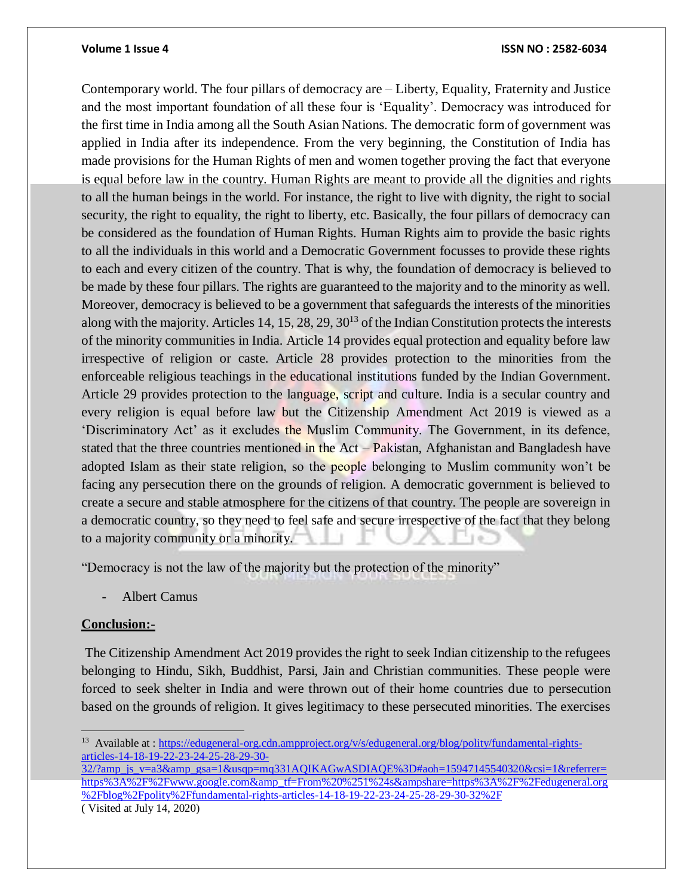Contemporary world. The four pillars of democracy are – Liberty, Equality, Fraternity and Justice and the most important foundation of all these four is 'Equality'. Democracy was introduced for the first time in India among all the South Asian Nations. The democratic form of government was applied in India after its independence. From the very beginning, the Constitution of India has made provisions for the Human Rights of men and women together proving the fact that everyone is equal before law in the country. Human Rights are meant to provide all the dignities and rights to all the human beings in the world. For instance, the right to live with dignity, the right to social security, the right to equality, the right to liberty, etc. Basically, the four pillars of democracy can be considered as the foundation of Human Rights. Human Rights aim to provide the basic rights to all the individuals in this world and a Democratic Government focusses to provide these rights to each and every citizen of the country. That is why, the foundation of democracy is believed to be made by these four pillars. The rights are guaranteed to the majority and to the minority as well. Moreover, democracy is believed to be a government that safeguards the interests of the minorities along with the majority. Articles 14, 15, 28, 29,  $30^{13}$  of the Indian Constitution protects the interests of the minority communities in India. Article 14 provides equal protection and equality before law irrespective of religion or caste. Article 28 provides protection to the minorities from the enforceable religious teachings in the educational institutions funded by the Indian Government. Article 29 provides protection to the language, script and culture. India is a secular country and every religion is equal before law but the Citizenship Amendment Act 2019 is viewed as a 'Discriminatory Act' as it excludes the Muslim Community. The Government, in its defence, stated that the three countries mentioned in the Act – Pakistan, Afghanistan and Bangladesh have adopted Islam as their state religion, so the people belonging to Muslim community won't be facing any persecution there on the grounds of religion. A democratic government is believed to create a secure and stable atmosphere for the citizens of that country. The people are sovereign in a democratic country, so they need to feel safe and secure irrespective of the fact that they belong to a majority community or a minority.

"Democracy is not the law of the majority but the protection of the minority"

Albert Camus

# **Conclusion:-**

 $\overline{a}$ 

The Citizenship Amendment Act 2019 provides the right to seek Indian citizenship to the refugees belonging to Hindu, Sikh, Buddhist, Parsi, Jain and Christian communities. These people were forced to seek shelter in India and were thrown out of their home countries due to persecution based on the grounds of religion. It gives legitimacy to these persecuted minorities. The exercises

[32/?amp\\_js\\_v=a3&amp\\_gsa=1&usqp=mq331AQIKAGwASDIAQE%3D#aoh=15947145540320&csi=1&referrer=](https://edugeneral-org.cdn.ampproject.org/v/s/edugeneral.org/blog/polity/fundamental-rights-articles-14-18-19-22-23-24-25-28-29-30-32/?amp_js_v=a3&_gsa=1&usqp=mq331AQIKAGwASDIAQE%3D#aoh=15947145540320&csi=1&referrer=https%3A%2F%2Fwww.google.com&_tf=From%20%251%24s&share=https%3A%2F%2Fedugeneral.org%2Fblog%2Fpolity%2Ffundamental-rights-articles-14-18-19-22-23-24-25-28-29-30-32%2F) [https%3A%2F%2Fwww.google.com&amp\\_tf=From%20%251%24s&ampshare=https%3A%2F%2Fedugeneral.org](https://edugeneral-org.cdn.ampproject.org/v/s/edugeneral.org/blog/polity/fundamental-rights-articles-14-18-19-22-23-24-25-28-29-30-32/?amp_js_v=a3&_gsa=1&usqp=mq331AQIKAGwASDIAQE%3D#aoh=15947145540320&csi=1&referrer=https%3A%2F%2Fwww.google.com&_tf=From%20%251%24s&share=https%3A%2F%2Fedugeneral.org%2Fblog%2Fpolity%2Ffundamental-rights-articles-14-18-19-22-23-24-25-28-29-30-32%2F) [%2Fblog%2Fpolity%2Ffundamental-rights-articles-14-18-19-22-23-24-25-28-29-30-32%2F](https://edugeneral-org.cdn.ampproject.org/v/s/edugeneral.org/blog/polity/fundamental-rights-articles-14-18-19-22-23-24-25-28-29-30-32/?amp_js_v=a3&_gsa=1&usqp=mq331AQIKAGwASDIAQE%3D#aoh=15947145540320&csi=1&referrer=https%3A%2F%2Fwww.google.com&_tf=From%20%251%24s&share=https%3A%2F%2Fedugeneral.org%2Fblog%2Fpolity%2Ffundamental-rights-articles-14-18-19-22-23-24-25-28-29-30-32%2F)

( Visited at July 14, 2020)

<sup>&</sup>lt;sup>13</sup> Available at : [https://edugeneral-org.cdn.ampproject.org/v/s/edugeneral.org/blog/polity/fundamental-rights](https://edugeneral-org.cdn.ampproject.org/v/s/edugeneral.org/blog/polity/fundamental-rights-articles-14-18-19-22-23-24-25-28-29-30-32/?amp_js_v=a3&_gsa=1&usqp=mq331AQIKAGwASDIAQE%3D#aoh=15947145540320&csi=1&referrer=https%3A%2F%2Fwww.google.com&_tf=From%20%251%24s&share=https%3A%2F%2Fedugeneral.org%2Fblog%2Fpolity%2Ffundamental-rights-articles-14-18-19-22-23-24-25-28-29-30-32%2F)[articles-14-18-19-22-23-24-25-28-29-30-](https://edugeneral-org.cdn.ampproject.org/v/s/edugeneral.org/blog/polity/fundamental-rights-articles-14-18-19-22-23-24-25-28-29-30-32/?amp_js_v=a3&_gsa=1&usqp=mq331AQIKAGwASDIAQE%3D#aoh=15947145540320&csi=1&referrer=https%3A%2F%2Fwww.google.com&_tf=From%20%251%24s&share=https%3A%2F%2Fedugeneral.org%2Fblog%2Fpolity%2Ffundamental-rights-articles-14-18-19-22-23-24-25-28-29-30-32%2F)